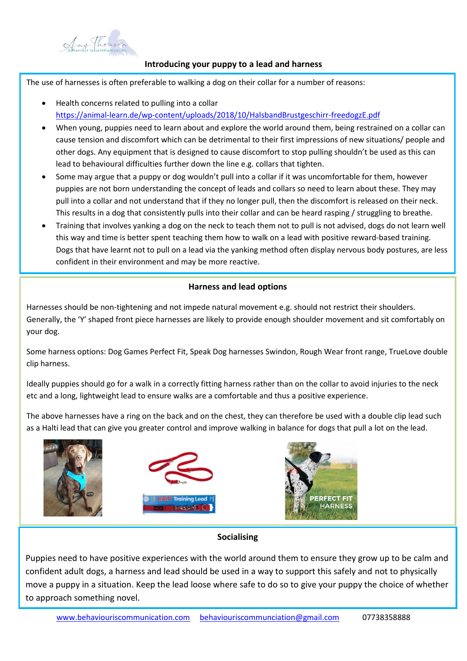

#### **Introducing your puppy to a lead and harness**

The use of harnesses is often preferable to walking a dog on their collar for a number of reasons:

- Health concerns related to pulling into a collar <https://animal-learn.de/wp-content/uploads/2018/10/HalsbandBrustgeschirr-freedogzE.pdf>
- When young, puppies need to learn about and explore the world around them, being restrained on a collar can cause tension and discomfort which can be detrimental to their first impressions of new situations/ people and other dogs. Any equipment that is designed to cause discomfort to stop pulling shouldn't be used as this can lead to behavioural difficulties further down the line e.g. collars that tighten.
- Some may argue that a puppy or dog wouldn't pull into a collar if it was uncomfortable for them, however puppies are not born understanding the concept of leads and collars so need to learn about these. They may pull into a collar and not understand that if they no longer pull, then the discomfort is released on their neck. This results in a dog that consistently pulls into their collar and can be heard rasping / struggling to breathe.
- Training that involves yanking a dog on the neck to teach them not to pull is not advised, dogs do not learn well this way and time is better spent teaching them how to walk on a lead with positive reward-based training. Dogs that have learnt not to pull on a lead via the yanking method often display nervous body postures, are less confident in their environment and may be more reactive.

# **Harness and lead options**

Harnesses should be non-tightening and not impede natural movement e.g. should not restrict their shoulders. Generally, the 'Y' shaped front piece harnesses are likely to provide enough shoulder movement and sit comfortably on your dog.

Some harness options: Dog Games Perfect Fit, Speak Dog harnesses Swindon, Rough Wear front range, TrueLove double clip harness.

Ideally puppies should go for a walk in a correctly fitting harness rather than on the collar to avoid injuries to the neck etc and a long, lightweight lead to ensure walks are a comfortable and thus a positive experience.

The above harnesses have a ring on the back and on the chest, they can therefore be used with a double clip lead such as a Halti lead that can give you greater control and improve walking in balance for dogs that pull a lot on the lead.



## **Socialising**

Puppies need to have positive experiences with the world around them to ensure they grow up to be calm and confident adult dogs, a harness and lead should be used in a way to support this safely and not to physically move a puppy in a situation. Keep the lead loose where safe to do so to give your puppy the choice of whether to approach something novel.